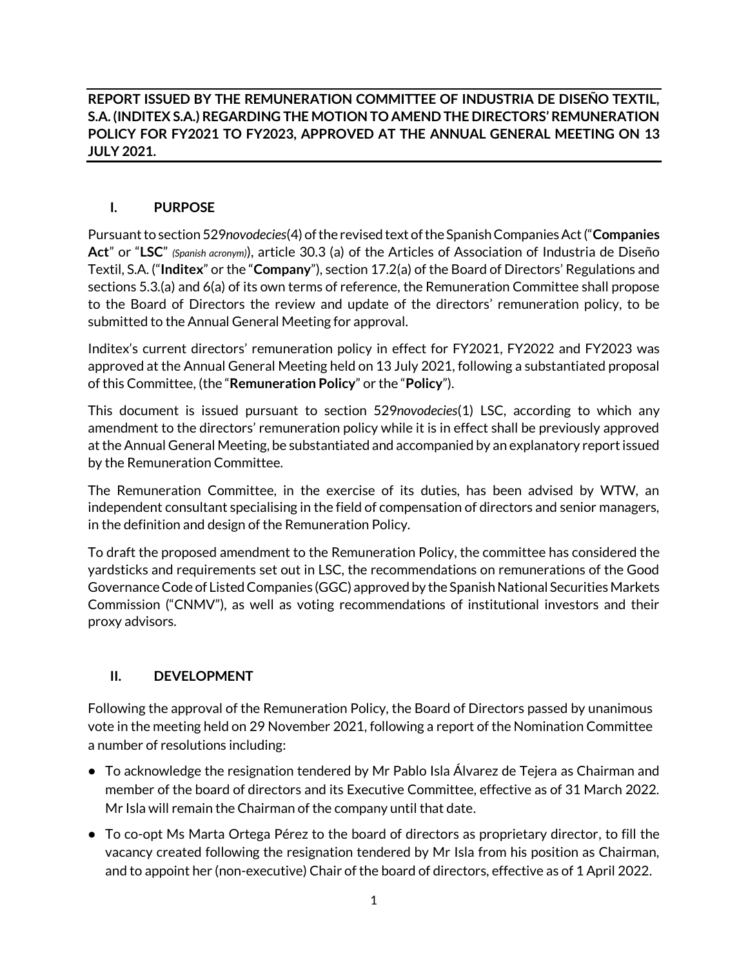**REPORT ISSUED BY THE REMUNERATION COMMITTEE OF INDUSTRIA DE DISEÑO TEXTIL, S.A. (INDITEX S.A.) REGARDING THE MOTION TO AMEND THE DIRECTORS' REMUNERATION POLICY FOR FY2021 TO FY2023, APPROVED AT THE ANNUAL GENERAL MEETING ON 13 JULY 2021.** 

## **I. PURPOSE**

Pursuant to section 529*novodecies*(4) of the revised text of the Spanish Companies Act("**Companies Act**" or "**LSC**" *(Spanish acronym)*), article 30.3 (a) of the Articles of Association of Industria de Diseño Textil, S.A. ("**Inditex**" or the "**Company**"), section 17.2(a) of the Board of Directors' Regulations and sections 5.3.(a) and 6(a) of its own terms of reference, the Remuneration Committee shall propose to the Board of Directors the review and update of the directors' remuneration policy, to be submitted to the Annual General Meeting for approval.

Inditex's current directors' remuneration policy in effect for FY2021, FY2022 and FY2023 was approved at the Annual General Meeting held on 13 July 2021, following a substantiated proposal of this Committee, (the "**Remuneration Policy**" or the "**Policy**").

This document is issued pursuant to section 529*novodecies*(1) LSC, according to which any amendment to the directors' remuneration policy while it is in effect shall be previously approved atthe Annual General Meeting, be substantiated and accompanied by an explanatory report issued by the Remuneration Committee.

The Remuneration Committee, in the exercise of its duties, has been advised by WTW, an independent consultant specialising in the field of compensation of directors and senior managers, in the definition and design of the Remuneration Policy.

To draft the proposed amendment to the Remuneration Policy, the committee has considered the yardsticks and requirements set out in LSC, the recommendations on remunerations of the Good Governance Code of Listed Companies (GGC) approved by the Spanish National Securities Markets Commission ("CNMV"), as well as voting recommendations of institutional investors and their proxy advisors.

## **II. DEVELOPMENT**

Following the approval of the Remuneration Policy, the Board of Directors passed by unanimous vote in the meeting held on 29 November 2021, following a report of the Nomination Committee a number of resolutions including:

- **•** To acknowledge the resignation tendered by Mr Pablo Isla Álvarez de Tejera as Chairman and member of the board of directors and its Executive Committee, effective as of 31 March 2022. Mr Isla will remain the Chairman of the company until that date.
- **•** To co-opt Ms Marta Ortega Pérez to the board of directors as proprietary director, to fill the vacancy created following the resignation tendered by Mr Isla from his position as Chairman, and to appoint her (non-executive) Chair of the board of directors, effective as of 1 April 2022.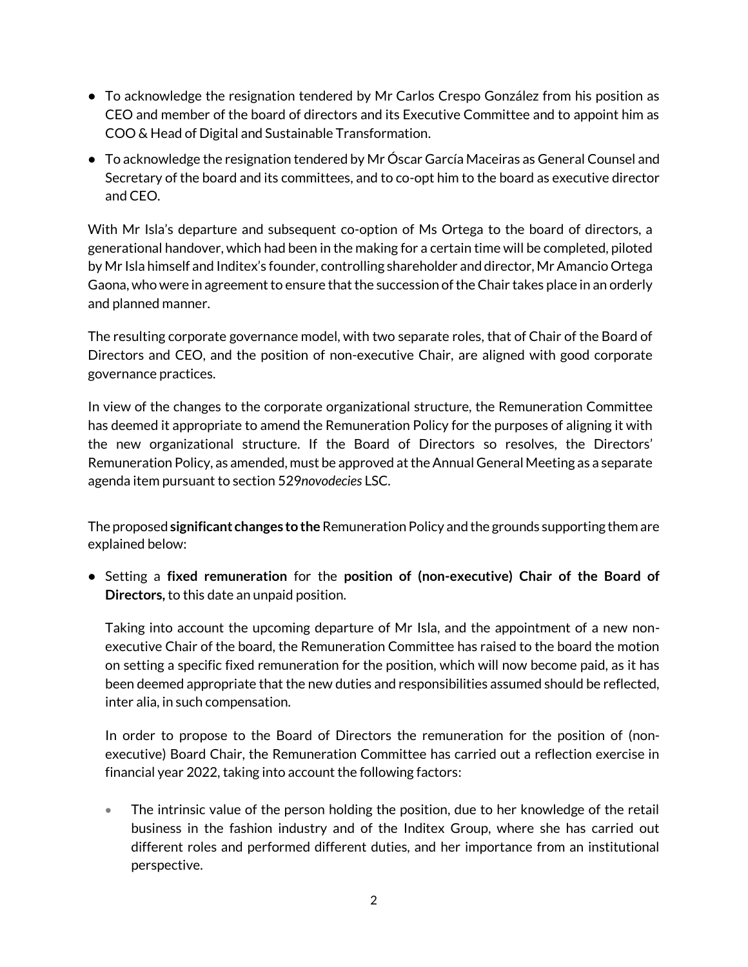- **•** To acknowledge the resignation tendered by Mr Carlos Crespo González from his position as CEO and member of the board of directors and its Executive Committee and to appoint him as COO & Head of Digital and Sustainable Transformation.
- **•** To acknowledge the resignation tendered by Mr Óscar García Maceiras as General Counsel and Secretary of the board and its committees, and to co-opt him to the board as executive director and CEO.

With Mr Isla's departure and subsequent co-option of Ms Ortega to the board of directors, a generational handover, which had been in the making for a certain time will be completed, piloted by Mr Isla himself and Inditex's founder, controlling shareholder and director, Mr Amancio Ortega Gaona, who were in agreement to ensure that the succession of the Chair takes place in an orderly and planned manner.

The resulting corporate governance model, with two separate roles, that of Chair of the Board of Directors and CEO, and the position of non-executive Chair, are aligned with good corporate governance practices.

In view of the changes to the corporate organizational structure, the Remuneration Committee has deemed it appropriate to amend the Remuneration Policy for the purposes of aligning it with the new organizational structure. If the Board of Directors so resolves, the Directors' Remuneration Policy, as amended, must be approved at the Annual General Meeting as a separate agenda item pursuant to section 529*novodecies* LSC.

The proposed **significant changes to the** Remuneration Policy and the grounds supporting them are explained below:

**•** Setting a **fixed remuneration** for the **position of (non-executive) Chair of the Board of Directors,** to this date an unpaid position.

Taking into account the upcoming departure of Mr Isla, and the appointment of a new nonexecutive Chair of the board, the Remuneration Committee has raised to the board the motion on setting a specific fixed remuneration for the position, which will now become paid, as it has been deemed appropriate that the new duties and responsibilities assumed should be reflected, inter alia, in such compensation.

In order to propose to the Board of Directors the remuneration for the position of (nonexecutive) Board Chair, the Remuneration Committee has carried out a reflection exercise in financial year 2022, taking into account the following factors:

• The intrinsic value of the person holding the position, due to her knowledge of the retail business in the fashion industry and of the Inditex Group, where she has carried out different roles and performed different duties, and her importance from an institutional perspective.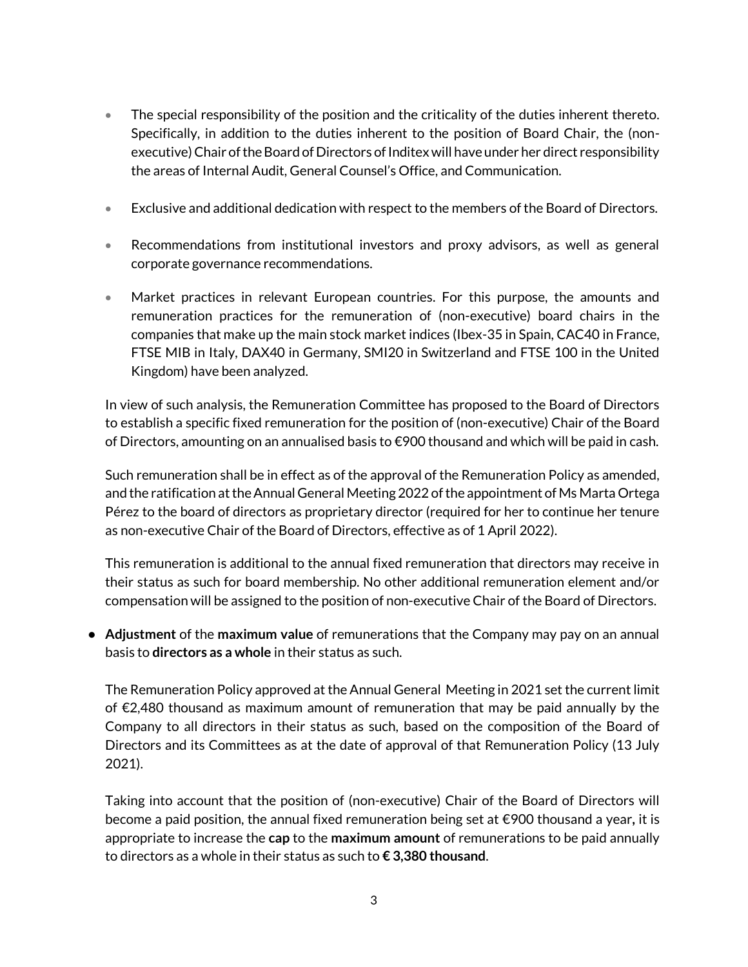- The special responsibility of the position and the criticality of the duties inherent thereto. Specifically, in addition to the duties inherent to the position of Board Chair, the (nonexecutive) Chair of the Board of Directors of Inditex will have under her direct responsibility the areas of Internal Audit, General Counsel's Office, and Communication.
- Exclusive and additional dedication with respect to the members of the Board of Directors.
- Recommendations from institutional investors and proxy advisors, as well as general corporate governance recommendations.
- Market practices in relevant European countries. For this purpose, the amounts and remuneration practices for the remuneration of (non-executive) board chairs in the companies that make up the main stock market indices (Ibex-35 in Spain, CAC40 in France, FTSE MIB in Italy, DAX40 in Germany, SMI20 in Switzerland and FTSE 100 in the United Kingdom) have been analyzed.

In view of such analysis, the Remuneration Committee has proposed to the Board of Directors to establish a specific fixed remuneration for the position of (non-executive) Chair of the Board of Directors, amounting on an annualised basis to €900 thousand and which will be paid in cash.

Such remuneration shall be in effect as of the approval of the Remuneration Policy as amended, and the ratification at the Annual General Meeting 2022 of the appointment of Ms Marta Ortega Pérez to the board of directors as proprietary director (required for her to continue her tenure as non-executive Chair of the Board of Directors, effective as of 1 April 2022).

This remuneration is additional to the annual fixed remuneration that directors may receive in their status as such for board membership. No other additional remuneration element and/or compensation will be assigned to the position of non-executive Chair of the Board of Directors.

**• Adjustment** of the **maximum value** of remunerations that the Company may pay on an annual basis to **directors as a whole** in their status as such.

The Remuneration Policy approved at the Annual General Meeting in 2021 set the current limit of €2,480 thousand as maximum amount of remuneration that may be paid annually by the Company to all directors in their status as such, based on the composition of the Board of Directors and its Committees as at the date of approval of that Remuneration Policy (13 July 2021).

Taking into account that the position of (non-executive) Chair of the Board of Directors will become a paid position, the annual fixed remuneration being set at €900 thousand a year**,** it is appropriate to increase the **cap** to the **maximum amount** of remunerations to be paid annually to directors as a whole in their status as such to **€ 3,380 thousand**.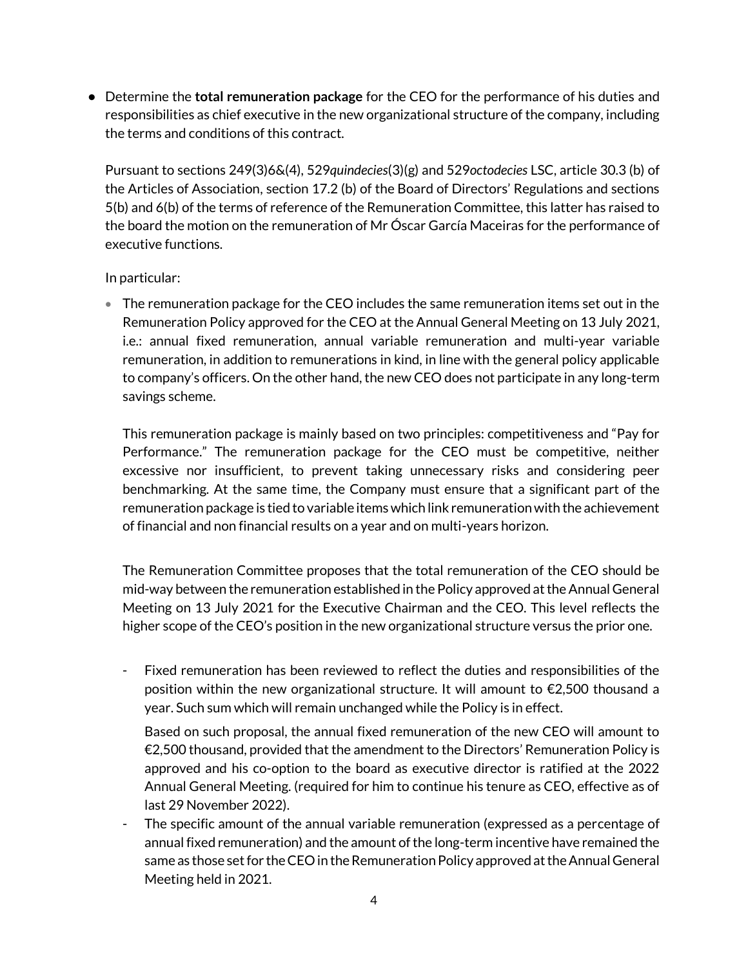**•** Determine the **total remuneration package** for the CEO for the performance of his duties and responsibilities as chief executive in the new organizational structure of the company, including the terms and conditions of this contract.

Pursuant to sections 249(3)6&(4), 529*quindecies*(3)(g) and 529*octodecies* LSC, article 30.3 (b) of the Articles of Association, section 17.2 (b) of the Board of Directors' Regulations and sections 5(b) and 6(b) of the terms of reference of the Remuneration Committee, this latter has raised to the board the motion on the remuneration of Mr Óscar García Maceiras for the performance of executive functions.

#### In particular:

• The remuneration package for the CEO includes the same remuneration items set out in the Remuneration Policy approved for the CEO at the Annual General Meeting on 13 July 2021, i.e.: annual fixed remuneration, annual variable remuneration and multi-year variable remuneration, in addition to remunerations in kind, in line with the general policy applicable to company's officers. On the other hand, the new CEO does not participate in any long-term savings scheme.

This remuneration package is mainly based on two principles: competitiveness and "Pay for Performance." The remuneration package for the CEO must be competitive, neither excessive nor insufficient, to prevent taking unnecessary risks and considering peer benchmarking. At the same time, the Company must ensure that a significant part of the remuneration package is tied to variable items which link remuneration with the achievement of financial and non financial results on a year and on multi-years horizon.

The Remuneration Committee proposes that the total remuneration of the CEO should be mid-way between the remuneration established in the Policy approved at the Annual General Meeting on 13 July 2021 for the Executive Chairman and the CEO. This level reflects the higher scope of the CEO's position in the new organizational structure versus the prior one.

Fixed remuneration has been reviewed to reflect the duties and responsibilities of the position within the new organizational structure. It will amount to €2,500 thousand a year. Such sum which will remain unchanged while the Policy is in effect.

Based on such proposal, the annual fixed remuneration of the new CEO will amount to  $E$ 2,500 thousand, provided that the amendment to the Directors' Remuneration Policy is approved and his co-option to the board as executive director is ratified at the 2022 Annual General Meeting. (required for him to continue his tenure as CEO, effective as of last 29 November 2022).

The specific amount of the annual variable remuneration (expressed as a percentage of annual fixed remuneration) and the amount of the long-term incentive have remained the same as those set for the CEO in the Remuneration Policy approved at the Annual General Meeting held in 2021.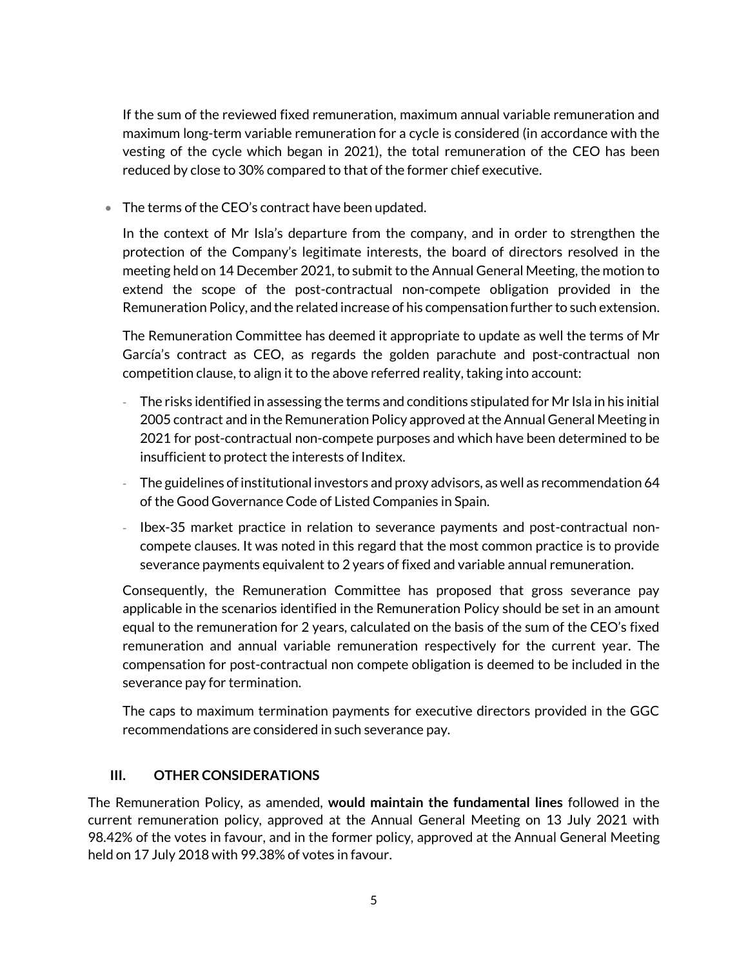If the sum of the reviewed fixed remuneration, maximum annual variable remuneration and maximum long-term variable remuneration for a cycle is considered (in accordance with the vesting of the cycle which began in 2021), the total remuneration of the CEO has been reduced by close to 30% compared to that of the former chief executive.

• The terms of the CEO's contract have been updated.

In the context of Mr Isla's departure from the company, and in order to strengthen the protection of the Company's legitimate interests, the board of directors resolved in the meeting held on 14 December 2021, to submit to the Annual General Meeting, the motion to extend the scope of the post-contractual non-compete obligation provided in the Remuneration Policy, and the related increase of his compensation further to such extension.

The Remuneration Committee has deemed it appropriate to update as well the terms of Mr García's contract as CEO, as regards the golden parachute and post-contractual non competition clause, to align it to the above referred reality, taking into account:

- The risks identified in assessing the terms and conditions stipulated for Mr Isla in his initial 2005 contract and in the Remuneration Policy approved at the Annual General Meeting in 2021 for post-contractual non-compete purposes and which have been determined to be insufficient to protect the interests of Inditex.
- The guidelines of institutional investors and proxy advisors, as well as recommendation 64 of the Good Governance Code of Listed Companies in Spain.
- Ibex-35 market practice in relation to severance payments and post-contractual noncompete clauses. It was noted in this regard that the most common practice is to provide severance payments equivalent to 2 years of fixed and variable annual remuneration.

Consequently, the Remuneration Committee has proposed that gross severance pay applicable in the scenarios identified in the Remuneration Policy should be set in an amount equal to the remuneration for 2 years, calculated on the basis of the sum of the CEO's fixed remuneration and annual variable remuneration respectively for the current year. The compensation for post-contractual non compete obligation is deemed to be included in the severance pay for termination.

The caps to maximum termination payments for executive directors provided in the GGC recommendations are considered in such severance pay.

## **III. OTHER CONSIDERATIONS**

The Remuneration Policy, as amended, **would maintain the fundamental lines** followed in the current remuneration policy, approved at the Annual General Meeting on 13 July 2021 with 98.42% of the votes in favour, and in the former policy, approved at the Annual General Meeting held on 17 July 2018 with 99.38% of votes in favour.